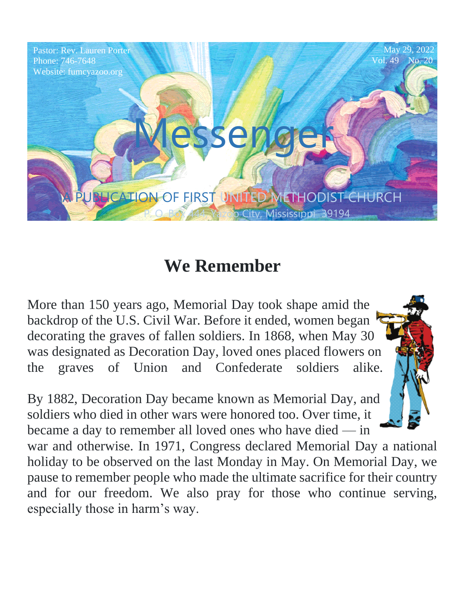

# **We Remember**

More than 150 years ago, Memorial Day took shape amid the backdrop of the U.S. Civil War. Before it ended, women began decorating the graves of fallen soldiers. In 1868, when May 30 was designated as Decoration Day, loved ones placed flowers on the graves of Union and Confederate soldiers alike.

By 1882, Decoration Day became known as Memorial Day, and soldiers who died in other wars were honored too. Over time, it became a day to remember all loved ones who have died — in

war and otherwise. In 1971, Congress declared Memorial Day a national holiday to be observed on the last Monday in May. On Memorial Day, we pause to remember people who made the ultimate sacrifice for their country and for our freedom. We also pray for those who continue serving, especially those in harm's way.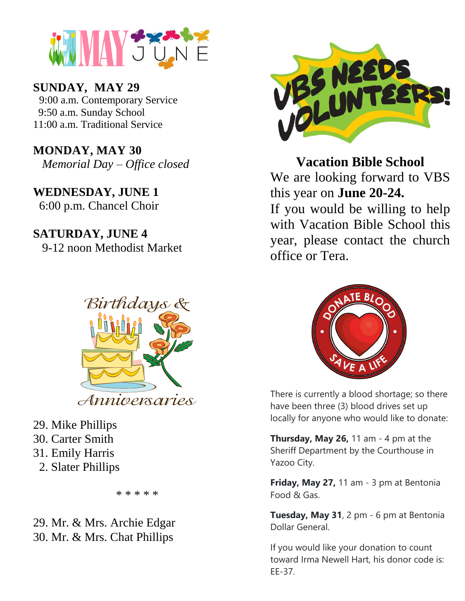

 **SUNDAY***,* **MAY 29**

9:00 a.m. Contemporary Service 9:50 a.m. Sunday School 11:00 a.m. Traditional Service

*Memorial Day – Office closed* D METHODIST CHURCH **MONDAY, MAY 30**

**WEDNESDAY, JUNE 1**  $6.00 \text{ m}$ 6:00 p.m. Chancel Choir

**SATURDAY, JUNE 4** 9-12 noon Methodist Market



- 29. Mike Phillips
- 30. Carter Smith
- 31. Emily Harris
	- 2. Slater Phillips

\* \* \* \* \*

29. Mr. & Mrs. Archie Edgar 30. Mr. & Mrs. Chat Phillips



**Vacation Bible School**

NE 1 this year on **June 20-24.** We are looking forward to VBS

If you would be willing to help with Vacation Bible School this year, please contact the church office or Tera.



There is currently a blood shortage; so there have been three (3) blood drives set up locally for anyone who would like to donate:

**Thursday, May 26,** 11 am - 4 pm at the Sheriff Department by the Courthouse in Yazoo City.

**Friday, May 27,** 11 am - 3 pm at Bentonia Food & Gas.

**Tuesday, May 31**, 2 pm - 6 pm at Bentonia Dollar General.

If you would like your donation to count toward Irma Newell Hart, his donor code is: EE-37.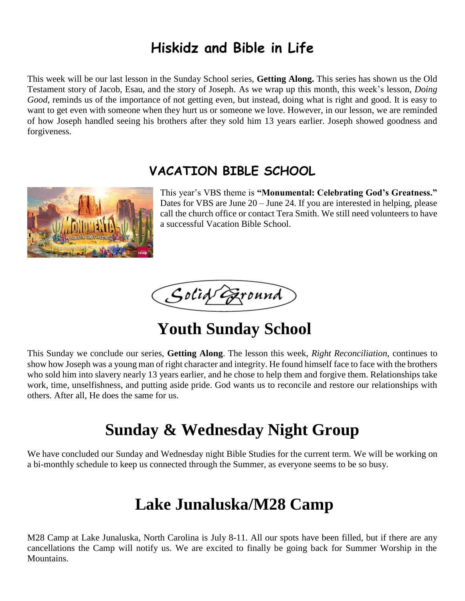### **Hiskidz and Bible in Life**

This week will be our last lesson in the Sunday School series, **Getting Along.** This series has shown us the Old Testament story of Jacob, Esau, and the story of Joseph. As we wrap up this month, this week's lesson, *Doing Good*, reminds us of the importance of not getting even, but instead, doing what is right and good. It is easy to want to get even with someone when they hurt us or someone we love. However, in our lesson, we are reminded of how Joseph handled seeing his brothers after they sold him 13 years earlier. Joseph showed goodness and forgiveness.

#### **VACATION BIBLE SCHOOL**



This year's VBS theme is **"Monumental: Celebrating God's Greatness."** Dates for VBS are June 20 – June 24. If you are interested in helping, please call the church office or contact Tera Smith. We still need volunteers to have a successful Vacation Bible School.

Solid Exound

# **Youth Sunday School**

This Sunday we conclude our series, **Getting Along**. The lesson this week, *Right Reconciliation,* continues to show how Joseph was a young man of right character and integrity. He found himself face to face with the brothers who sold him into slavery nearly 13 years earlier, and he chose to help them and forgive them. Relationships take work, time, unselfishness, and putting aside pride. God wants us to reconcile and restore our relationships with others. After all, He does the same for us.

# **Sunday & Wednesday Night Group**

We have concluded our Sunday and Wednesday night Bible Studies for the current term. We will be working on a bi-monthly schedule to keep us connected through the Summer, as everyone seems to be so busy.

# **Lake Junaluska/M28 Camp**

M28 Camp at Lake Junaluska, North Carolina is July 8-11. All our spots have been filled, but if there are any cancellations the Camp will notify us. We are excited to finally be going back for Summer Worship in the Mountains.